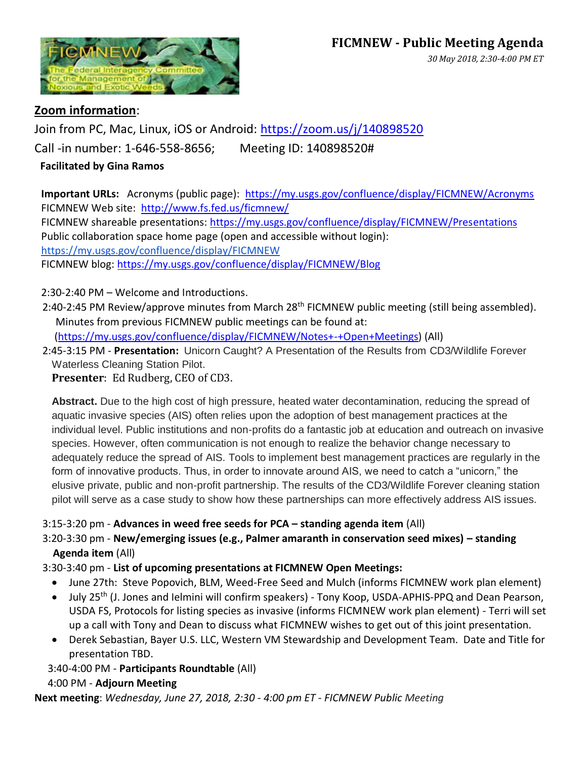# **FICMNEW - Public Meeting Agenda**



## *30 May 2018, 2:30-4:00 PM ET*

### **Zoom information**:

Join from PC, Mac, Linux, iOS or Android:<https://zoom.us/j/140898520> Call -in number: 1-646-558-8656; Meeting ID: 140898520#

#### **Facilitated by Gina Ramos**

**Important URLs:** Acronyms (public page): <https://my.usgs.gov/confluence/display/FICMNEW/Acronyms> FICMNEW Web site: <http://www.fs.fed.us/ficmnew/> FICMNEW shareable presentations:<https://my.usgs.gov/confluence/display/FICMNEW/Presentations> Public collaboration space home page (open and accessible without login): <https://my.usgs.gov/confluence/display/FICMNEW> FICMNEW blog: <https://my.usgs.gov/confluence/display/FICMNEW/Blog>

2:30-2:40 PM – Welcome and Introductions.

2:40-2:45 PM Review/approve minutes from March 28<sup>th</sup> FICMNEW public meeting (still being assembled). Minutes from previous FICMNEW public meetings can be found at:

[\(https://my.usgs.gov/confluence/display/FICMNEW/Notes+-+Open+Meetings\)](https://my.usgs.gov/confluence/display/FICMNEW/Notes+-+Open+Meetings) (All)

 2:45-3:15 PM - **Presentation:** Unicorn Caught? A Presentation of the Results from CD3/Wildlife Forever Waterless Cleaning Station Pilot.

**Presenter**: Ed Rudberg, CEO of CD3.

**Abstract.** Due to the high cost of high pressure, heated water decontamination, reducing the spread of aquatic invasive species (AIS) often relies upon the adoption of best management practices at the individual level. Public institutions and non-profits do a fantastic job at education and outreach on invasive species. However, often communication is not enough to realize the behavior change necessary to adequately reduce the spread of AIS. Tools to implement best management practices are regularly in the form of innovative products. Thus, in order to innovate around AIS, we need to catch a "unicorn," the elusive private, public and non-profit partnership. The results of the CD3/Wildlife Forever cleaning station pilot will serve as a case study to show how these partnerships can more effectively address AIS issues.

#### 3:15-3:20 pm - **Advances in weed free seeds for PCA – standing agenda item** (All)

3:20-3:30 pm - **New/emerging issues (e.g., Palmer amaranth in conservation seed mixes) – standing Agenda item** (All)

#### 3:30-3:40 pm - **List of upcoming presentations at FICMNEW Open Meetings:**

- June 27th: Steve Popovich, BLM, Weed-Free Seed and Mulch (informs FICMNEW work plan element)
- July 25<sup>th</sup> (J. Jones and Ielmini will confirm speakers) Tony Koop, USDA-APHIS-PPQ and Dean Pearson, USDA FS, Protocols for listing species as invasive (informs FICMNEW work plan element) - Terri will set up a call with Tony and Dean to discuss what FICMNEW wishes to get out of this joint presentation.
- Derek Sebastian, Bayer U.S. LLC, Western VM Stewardship and Development Team. Date and Title for presentation TBD.

3:40-4:00 PM - **Participants Roundtable** (All)

#### 4:00 PM - **Adjourn Meeting**

**Next meeting**: *Wednesday, June 27, 2018, 2:30 - 4:00 pm ET - FICMNEW Public Meeting*